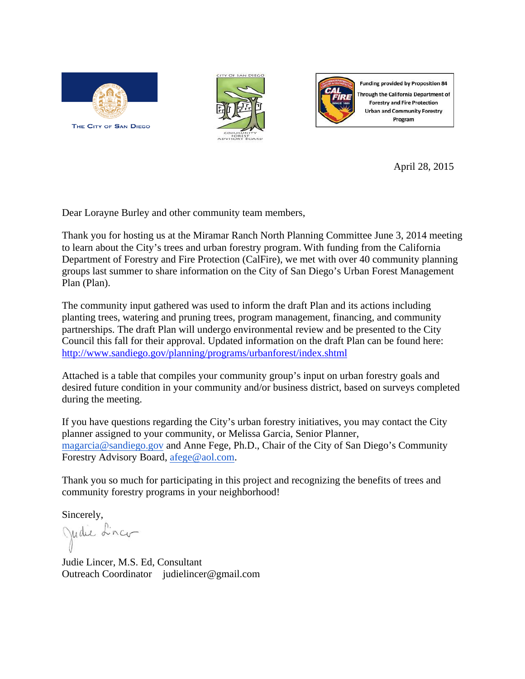





**Funding provided by Proposition 84** Through the California Department of **Forestry and Fire Protection Urban and Community Forestry** Program

April 28, 2015

Dear Lorayne Burley and other community team members,

Thank you for hosting us at the Miramar Ranch North Planning Committee June 3, 2014 meeting to learn about the City's trees and urban forestry program. With funding from the California Department of Forestry and Fire Protection (CalFire), we met with over 40 community planning groups last summer to share information on the City of San Diego's Urban Forest Management Plan (Plan).

The community input gathered was used to inform the draft Plan and its actions including planting trees, watering and pruning trees, program management, financing, and community partnerships. The draft Plan will undergo environmental review and be presented to the City Council this fall for their approval. Updated information on the draft Plan can be found here: http://www.sandiego.gov/planning/programs/urbanforest/index.shtml

Attached is a table that compiles your community group's input on urban forestry goals and desired future condition in your community and/or business district, based on surveys completed during the meeting.

If you have questions regarding the City's urban forestry initiatives, you may contact the City planner assigned to your community, or Melissa Garcia, Senior Planner, magarcia@sandiego.gov and Anne Fege, Ph.D., Chair of the City of San Diego's Community Forestry Advisory Board, afege@aol.com.

Thank you so much for participating in this project and recognizing the benefits of trees and community forestry programs in your neighborhood!

Sincerely,

Judie Linco

Judie Lincer, M.S. Ed, Consultant Outreach Coordinator judielincer@gmail.com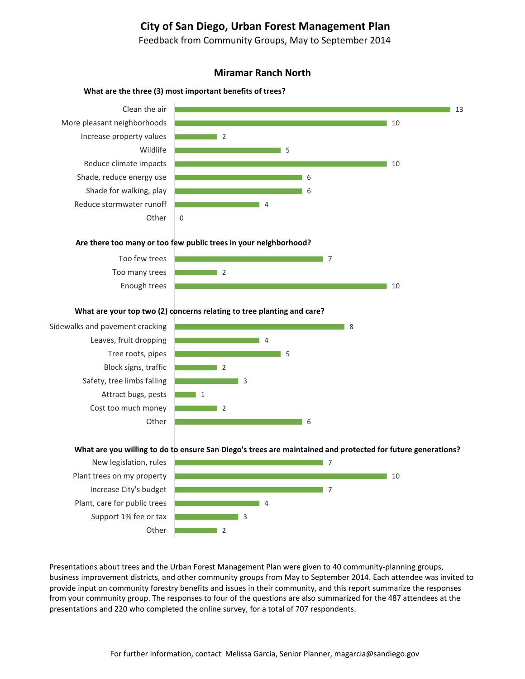# **City of San Diego, Urban Forest Management Plan**

Feedback from Community Groups, May to September 2014

## **Miramar Ranch North**

## **What** are the three (3) most important benefits of trees?



#### **Are there too many or too few public trees in your neighborhood?**



### **What are your top two (2) concerns relating to tree planting and care?**

Sidewalks and pavement cracking Leaves, fruit dropping Tree roots, pipes Block signs, traffic Safety, tree limbs falling Attract bugs, pests Cost too much money **Other** 



#### What are you willing to do to ensure San Diego's trees are maintained and protected for future generations?



Presentations about trees and the Urban Forest Management Plan were given to 40 community-planning groups, business improvement districts, and other community groups from May to September 2014. Each attendee was invited to provide input on community forestry benefits and issues in their community, and this report summarize the responses from your community group. The responses to four of the questions are also summarized for the 487 attendees at the presentations and 220 who completed the online survey, for a total of 707 respondents.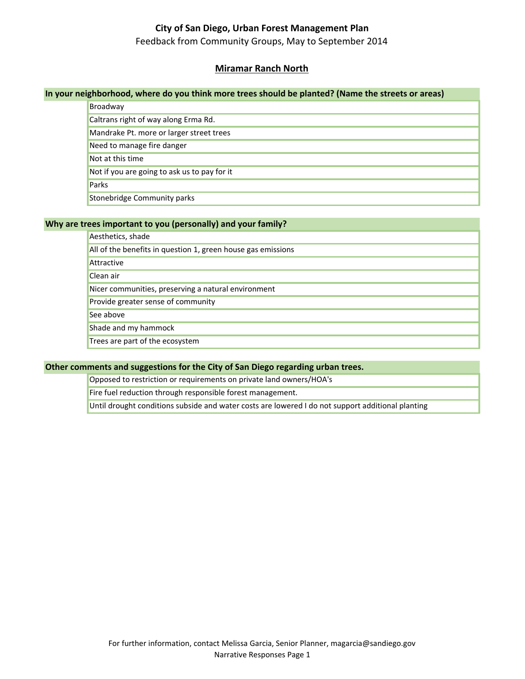# **City of San Diego, Urban Forest Management Plan**

Feedback from Community Groups, May to September 2014

# **Miramar Ranch North**

## **In your neighborhood, where do you think more trees should be planted? (Name the streets or areas)**

| Broadway                                     |
|----------------------------------------------|
| Caltrans right of way along Erma Rd.         |
| Mandrake Pt. more or larger street trees     |
| Need to manage fire danger                   |
| Not at this time                             |
| Not if you are going to ask us to pay for it |
| Parks                                        |
| Stonebridge Community parks                  |

## **Why are trees important to you (personally) and your family?**

| Aesthetics, shade                                            |
|--------------------------------------------------------------|
| All of the benefits in question 1, green house gas emissions |
| Attractive                                                   |
| Clean air                                                    |
| Nicer communities, preserving a natural environment          |
| Provide greater sense of community                           |
| See above                                                    |
| Shade and my hammock                                         |
| Trees are part of the ecosystem                              |

## **Other comments and suggestions for the City of San Diego regarding urban trees.**

Opposed to restriction or requirements on private land owners/HOA's

Fire fuel reduction through responsible forest management.

Until drought conditions subside and water costs are lowered I do not support additional planting